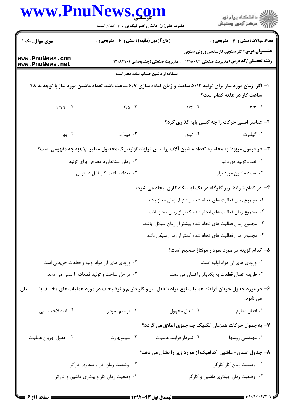| www.PnuNews.com                                                                                                | حضرت علی(ع): دانش راهبر نیکویی برای ایمان است                                                                   |                                                                                    | ِ<br>∭ دانشڪاه پيام نور<br>∭ مرڪز آزمون وسنڊش   |
|----------------------------------------------------------------------------------------------------------------|-----------------------------------------------------------------------------------------------------------------|------------------------------------------------------------------------------------|-------------------------------------------------|
| سری سوال: یک ۱                                                                                                 | <b>زمان آزمون (دقیقه) : تستی : 60 ٪ تشریحی : 0</b>                                                              |                                                                                    | <b>تعداد سوالات : تستی : 40 قشریحی : 0</b>      |
| www.PnuNews.com<br>www.PnuNews.net                                                                             |                                                                                                                 | <b>رشته تحصیلی/کد درس:</b> مدیریت صنعتی ۱۲۱۸۰۸۴ - ، مدیریت صنعتی (چندبخشی )۱۲۱۸۲۷۰ | <b>عنـــوان درس:</b> کار سنجی،کارسنجی وروش سنجی |
|                                                                                                                | استفاده از ماشین حساب ساده مجاز است                                                                             |                                                                                    |                                                 |
|                                                                                                                | ا– اگر ًزمان مورد نیاز برای تولید ۵۰/۲ ساعت و زمان آماده سازی ۶/۷ ساعت باشد تعداد ماشین مورد نیاز با توجه به ۴۸ |                                                                                    | ساعت کار در هفته کدام است؟                      |
| 1/19.7                                                                                                         | $f/\Delta$ . $\tilde{r}$                                                                                        | $1/\tau$ .                                                                         | $Y/Y$ .                                         |
|                                                                                                                |                                                                                                                 | ۲- عناصر اصلی حرکت را چه کسی پایه گذاری کرد؟                                       |                                                 |
| ۰۴ وبر                                                                                                         | ۰۳ مینارد                                                                                                       | ۰۲ تیلور                                                                           | ٠١. گيلبرت                                      |
|                                                                                                                | ت در فرمول مربوط به محاسبه تعداد ماشین آلات براساس فرایند تولید یک محصول متغیر $Cij$ به چه مفهومی است $\bullet$ |                                                                                    |                                                 |
|                                                                                                                | ۰۲ زمان استانداررد مصرفی برای تولید                                                                             |                                                                                    | ٠١ تعداد توليد مورد نياز                        |
|                                                                                                                | ۰۴ تعداد ساعات کار قابل دسترس                                                                                   |                                                                                    | ۰۳ تعداد ماشین مورد نیاز                        |
|                                                                                                                |                                                                                                                 | ۴- در کدام شرایط زیر گلوگاه در یک ایستگاه کاری ایجاد می شود؟                       |                                                 |
|                                                                                                                |                                                                                                                 | ٠١. مجموع زمان فعاليت هاى انجام شده بيشتر از زمان مجاز باشد.                       |                                                 |
|                                                                                                                |                                                                                                                 | ۰۲ مجموع زمان فعالیت های انجام شده کمتر از زمان مجاز باشد.                         |                                                 |
|                                                                                                                |                                                                                                                 | ۰۳ مجموع زمان فعالیت های انجام شده بیشتر از زمان سیکل باشد.                        |                                                 |
|                                                                                                                |                                                                                                                 | ۰۴ مجموع زمان فعالیت های انجام شده کمتر از زمان سیکل باشد.                         |                                                 |
|                                                                                                                |                                                                                                                 | ۵– کدام گزینه در مورد نمودار مونتاژ صحیح است؟                                      |                                                 |
|                                                                                                                | ۰۲ ورودی های آن مواد اولیه و قطعات خریدنی است.                                                                  |                                                                                    | ۰۱ ورودي هاي آن مواد اوليه است.                 |
|                                                                                                                | ۰۴ مراحل ساخت و تولید قطعات را نشان می دهد.                                                                     | ۰۳ طریقه اتصال قطعات به یکدیگر را نشان می دهد.                                     |                                                 |
| ۶– در مورد جدول جریان فرایند عملیات نوع مواد با فعل سر و کار داریم و توضیحات در مورد عملیات های مختلف با  بیان |                                                                                                                 |                                                                                    | می شود.                                         |
| ۰۴ اصطلاحات فنی                                                                                                | ۰۳ ترسیم نمودار                                                                                                 | ٠٢ افعال مجهول                                                                     | ٠١. افعال معلوم                                 |
|                                                                                                                |                                                                                                                 | ۷– به جدول حرکات همزمان تکنیک چه چیزی اطلاق می گردد؟                               |                                                 |
| ۰۴ جدول جريان عمليات                                                                                           | ۰۳ سیموچارت                                                                                                     | ۰۲ نمودار فرایند عملیات                                                            | ۰۱ مهندسی روشها                                 |
|                                                                                                                |                                                                                                                 | ۸- جدول انسان- ماشین کدامیک از موارد زیر را نشان می دهد؟                           |                                                 |
|                                                                                                                | ۰۲ وضعیت زمان کار و بیکاری کارگر                                                                                |                                                                                    | ۰۱ وضعیت زمان کار کارگر                         |
|                                                                                                                | ۰۴ وضعیت زمان کار و بیکاری ماشین و کارگر                                                                        |                                                                                    | ۰۳ وضعیت زمان بیکاری ماشین و کارگر              |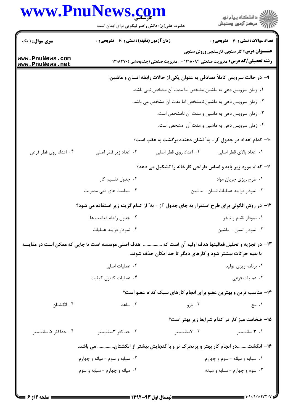## www.PnuNews.com

| <b>تعداد سوالات : تستی : 40 قشریحی : 0</b><br><b>عنـــوان درس:</b> کار سنجی،کارسنجی وروش سنجی<br><b>رشته تحصیلی/کد درس:</b> مدیریت صنعتی ۱۲۱۸۰۸۴ - ، مدیریت صنعتی (چندبخشی ) ۱۲۱۸۲۷۰<br>۹- در حالت سرویس کاملاً تصادفی به عنوان یکی از حالات رابطه انسان و ماشین:<br>۰۱ زمان سرویس دهی به ماشین مشخص اما مدت آن مشخص نمی باشد.<br>۰۲ زمان سرویس دهی به ماشین نامشخص اما مدت آن مشخص می باشد. |
|----------------------------------------------------------------------------------------------------------------------------------------------------------------------------------------------------------------------------------------------------------------------------------------------------------------------------------------------------------------------------------------------|
|                                                                                                                                                                                                                                                                                                                                                                                              |
|                                                                                                                                                                                                                                                                                                                                                                                              |
|                                                                                                                                                                                                                                                                                                                                                                                              |
|                                                                                                                                                                                                                                                                                                                                                                                              |
|                                                                                                                                                                                                                                                                                                                                                                                              |
| ۰۳ زمان سرویس دهی به ماشین و مدت آن نامشخص است.                                                                                                                                                                                                                                                                                                                                              |
| ۰۴ زمان سرویس دهی به ماشین و مدت آن مشخص است.                                                                                                                                                                                                                                                                                                                                                |
| ۱۰– کدام اعداد در جدول "از – به" نشان دهنده برگشت به عقب است؟                                                                                                                                                                                                                                                                                                                                |
| ۰۱ اعداد بالای قطر اصلی                                                                                                                                                                                                                                                                                                                                                                      |
| 11- کدام مورد زیر پایه و اساس طراحی کارخانه را تشکیل می دهد؟                                                                                                                                                                                                                                                                                                                                 |
| ۰۱ طرح ریزی جریان مواد                                                                                                                                                                                                                                                                                                                                                                       |
| ۰۳ نمودار فرایند عملیات انسان - ماشین                                                                                                                                                                                                                                                                                                                                                        |
| ۱۲- در روش الگوئی برای طرح استقرار به جای جدول "از - به" از کدام گزینه زیر استفاده می شود؟                                                                                                                                                                                                                                                                                                   |
| ۰۱ نمودار تقدم و تاخر                                                                                                                                                                                                                                                                                                                                                                        |
| ۰۳ نمودار انسان - ماشین                                                                                                                                                                                                                                                                                                                                                                      |
| ۱۳- در تجزیه و تحلیل فعالیتها هدف اولیه آن است که  هدف اصلی موسسه است تا جایی که ممکن است در مقایسه                                                                                                                                                                                                                                                                                          |
| با بقیه حرکات بیشتر شود و کارهای دیگر تا حد امکان حذف شوند.                                                                                                                                                                                                                                                                                                                                  |
| ۰۱ برنامه ریزی تولید                                                                                                                                                                                                                                                                                                                                                                         |
| ۰۳ عملیات فرعی                                                                                                                                                                                                                                                                                                                                                                               |
| ۱۴- مناسب ترین و بهترین عضو برای انجام کارهای سبک کدام عضو است؟                                                                                                                                                                                                                                                                                                                              |
| ۰۱ مچ                                                                                                                                                                                                                                                                                                                                                                                        |
| ۱۵– ضخامت میز کار در کدام شرایط زیر بهتر است؟                                                                                                                                                                                                                                                                                                                                                |
| ۰۱ ۳ سانتیمتر                                                                                                                                                                                                                                                                                                                                                                                |
| ۱۶– انگشتدر انجام کار بهتر و پرتحرک تر و با گنجایش بیشتر از انگشتان می باشد.                                                                                                                                                                                                                                                                                                                 |
| ۰۱ سبابه و میانه - سوم و چهارم                                                                                                                                                                                                                                                                                                                                                               |
| ۰۳ سوم و چهارم - سبابه و ميانه                                                                                                                                                                                                                                                                                                                                                               |
|                                                                                                                                                                                                                                                                                                                                                                                              |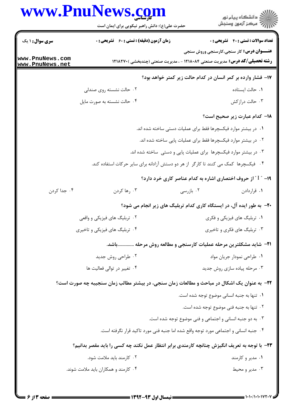## www.PnuNews.com

|                                    | www.PnuNews.com<br>حضرت علی(ع): دانش راهبر نیکویی برای ایمان است                             |                                                                        | ِ<br>∭ دانشڪاه پيام نور<br>∭ مرڪز آزمون وسنڊش                                                                                          |
|------------------------------------|----------------------------------------------------------------------------------------------|------------------------------------------------------------------------|----------------------------------------------------------------------------------------------------------------------------------------|
| <b>سری سوال : ۱ یک</b>             | <b>زمان آزمون (دقیقه) : تستی : 60 ٪ تشریحی : 0</b>                                           |                                                                        | <b>تعداد سوالات : تستي : 40 - تشريحي : 0</b>                                                                                           |
| www.PnuNews.com<br>www.PnuNews.net |                                                                                              |                                                                        | <b>عنـــوان درس:</b> کار سنجی،کارسنجی وروش سنجی<br><b>رشته تحصیلی/کد درس:</b> مدیریت صنعتی ۱۲۱۸۰۸۴ - ، مدیریت صنعتی (چندبخشی ) ۱۲۱۸۲۷۰ |
|                                    |                                                                                              |                                                                        | ۱۷– فشار وارده بر کمر انسان در کدام حالت زیر کمتر خواهد بود؟                                                                           |
|                                    | ۰۲ حالت نشسته روی صندلی                                                                      |                                                                        | ٠١ حالت ايستاده                                                                                                                        |
|                                    | ۰۴ حالت نشسته به صورت مایل                                                                   |                                                                        | ۰۳ حالت دراز کش                                                                                                                        |
|                                    |                                                                                              |                                                                        | 1۸– کدام عبارت زیر صحیح است؟                                                                                                           |
|                                    |                                                                                              | <b>۱</b> . در بیشتر موارد فیکسچرها فقط برای عملیات دستی ساخته شده اند. |                                                                                                                                        |
|                                    |                                                                                              | ۰۲ در بیشتر موارد فیکسچرها فقط برای عملیات پایی ساخته شده اند.         |                                                                                                                                        |
|                                    |                                                                                              | ۰۳ در بیشتر موارد فیکسچرها برای عملیات پایی و دستی ساخته شده اند.      |                                                                                                                                        |
|                                    | ۰۴ فیکسچرها کمک می کنند تا کارگر از هر دو دستش آزادانه برای سایر حرکات استفاده کند.          |                                                                        |                                                                                                                                        |
|                                    |                                                                                              |                                                                        | ۱۹- " I " از حروف اختصاری اشاره به کدام عناصر کاری خرد دارد؟                                                                           |
| ۰۴ جدا کردن                        | ۰۳ رها کردن                                                                                  | ۰۲ بازرسی                                                              | ۰۱ قراردادن                                                                                                                            |
|                                    |                                                                                              |                                                                        | +۲- به طور ایده آل، در ایستگاه کاری کدام تربلیگ های زیر انجام می شود؟                                                                  |
|                                    | ۲. تربلیگ های فیزیکی و واقعی                                                                 |                                                                        | ۰۱ تربلیگ های فیزیکی و فکری                                                                                                            |
|                                    | ۰۴ تربلیگ های فیزیکی و تاخیری                                                                |                                                                        | ۰۳ تربلیگ های فکری و تاخیری                                                                                                            |
|                                    | ا۲− شاید مشکلترین مرحله عملیات کارسنجی و مطالعه روش مرحله باشد.                              |                                                                        |                                                                                                                                        |
|                                    | ۰۲ طراحی روش جدید                                                                            |                                                                        | ٠١ طراحي نمودار جريان مواد                                                                                                             |
|                                    | ۰۴ تغییر در توالی فعالیت ها                                                                  |                                                                        | ۰۳ مرحله پیاده سازی روش جدید                                                                                                           |
|                                    | ۲۲– به عنوان یک اشکال در مباحث و مطالعات زمان سنجی، در بیشتر مطالب زمان سنجیبه چه صورت است؟  |                                                                        |                                                                                                                                        |
|                                    |                                                                                              |                                                                        | ٠١. تنها به جنبه انساني موضوع توجه شده است.                                                                                            |
|                                    |                                                                                              |                                                                        | ٢. تنها به جنبه فني موضوع توجه شده است.                                                                                                |
|                                    |                                                                                              | ۰۳ به دو جنبه انسانی و اجتماعی و فنی موضوع توجه شده است.               |                                                                                                                                        |
|                                    | ۰۴ جنبه انسانی و اجتماعی مورد توجه واقع شده اما جنبه فنی مورد تاکید قرار نگرفته است.         |                                                                        |                                                                                                                                        |
|                                    | ۲۳- با توجه به تعریف انگیزش چنانچه کارمندی برابر انتظار عمل نکند چه کسی را باید مقصر بدانیم؟ |                                                                        |                                                                                                                                        |
|                                    | ۰۲ کارمند باید ملامت شود.                                                                    |                                                                        | ۰۱ مدیر و کارمند                                                                                                                       |
|                                    | ۰۴ کارمند و همکاران باید ملامت شوند.                                                         |                                                                        | ۰۳ مدیر و محیط                                                                                                                         |
|                                    |                                                                                              |                                                                        |                                                                                                                                        |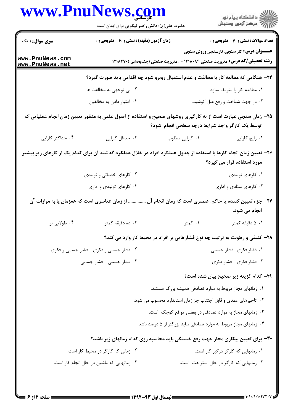|                                    | <b>www.PnuNews.col</b><br>حضرت علی(ع): دانش راهبر نیکویی برای ایمان است                                             |                                                                                   | ڪ دانشڪاه پيا <sub>م</sub> نور<br>۾ سرڪز آزمون وسنجش |
|------------------------------------|---------------------------------------------------------------------------------------------------------------------|-----------------------------------------------------------------------------------|------------------------------------------------------|
| <b>سری سوال :</b> ۱ یک             | <b>زمان آزمون (دقیقه) : تستی : 60 ٪ تشریحی : 0</b>                                                                  |                                                                                   | <b>تعداد سوالات : تستي : 40 - تشريحي : 0</b>         |
| www.PnuNews.com<br>www.PnuNews.net |                                                                                                                     | <b>رشته تحصیلی/کد درس:</b> مدیریت صنعتی ۱۲۱۸۰۸۴ - ، مدیریت صنعتی (چندبخشی )۲۱۸۲۷۰ | <b>عنـــوان درس:</b> کار سنجی،کارسنجی وروش سنجی      |
|                                    | ۲۴- هنگامی که مطالعه کار با مخالفت و عدم استقبال روبرو شود چه اقدامی باید صورت گیرد؟                                |                                                                                   |                                                      |
|                                    | ۰۲ بی توجهی به مخالفت ها                                                                                            |                                                                                   | ۰۱ مطالعه کار را متوقف سازد.                         |
|                                    | ۰۴ امتیاز دادن به مخالفین                                                                                           |                                                                                   | ۰۳ در جهت شناخت و رفع علل کوشید.                     |
|                                    | ۲۵– زمان سنجی عبارت است از به کارگیری روشهای صحیح و استفاده از اصول علمی به منظور تعیین زمان انجام عملیاتی که       | توسط یک کارگر واجد شرایط درچه سطحی انجام شود؟                                     |                                                      |
| ۰۴ حداکثر کارایی                   | ۰۳ حداقل کارایی                                                                                                     | ٠٢ كارايي مطلوب                                                                   | ۰۱ رایج کارایی                                       |
|                                    | ۲۶– تعیین زمان انجام کارها با استفاده از جدول عملکرد افراد در خلال عملکرد گذشته آن برای کدام یک از کارهای زیر بیشتر |                                                                                   | مورد استفاده قرار می گیرد؟                           |
|                                    | ۰۲ کارهای خدماتی و تولیدی                                                                                           |                                                                                   | ۰۱ کارهای تولیدی                                     |
|                                    | ۰۴ کارهای تولیدی و اداری                                                                                            |                                                                                   | ۰۳ کارهای ستادی و اداری                              |
|                                    | از زمان عناصری است که همزمان یا به موازات آن                                                                        | ۲۷– جزء تعیین کننده یا حاکم، عنصری است که زمان انجام آن                           | انجام می شود.                                        |
| ۰۴ طولانی تر                       | ۰۳ ده دقیقه کمتر                                                                                                    | ۰۲ کمتر                                                                           | ۰۱ دقیقه کمتر                                        |
|                                    |                                                                                                                     | ۲۸- کثیفی و رطوبت به ترتیب چه نوع فشارهایی بر افراد در محیط کار وارد می کند؟      |                                                      |
|                                    | ۰۲ فشار جسمی و فکری - فشار جسمی و فکری                                                                              |                                                                                   | ۰۱ فشار فکری- فشار جسمی                              |
|                                    | ۰۴ فشار جسمی - فشار جسمی                                                                                            |                                                                                   | ۰۳ فشار فکری - فشار فکری                             |
|                                    |                                                                                                                     |                                                                                   | ۲۹– کدام گزینه زیر صحیح بیان شده است؟                |
|                                    |                                                                                                                     | ۰۱ زمانهای مجاز مربوط به موارد تصادفی همیشه بزرگ هستند.                           |                                                      |
|                                    |                                                                                                                     | ۰۲ تاخیرهای عمدی و قابل اجتناب جز زمان استاندارد محسوب می شود.                    |                                                      |
|                                    |                                                                                                                     | ۰۳ زمانهای مجاز به موارد تصادفی در بعضی مواقع کوچک است.                           |                                                      |
|                                    |                                                                                                                     | ۰۴ زمانهای مجاز مربوط به موارد تصادفی نباید بزرگتر از ۵ درصد باشد.                |                                                      |
|                                    |                                                                                                                     | ۳۰- برای تعیین بیکاری مجاز جهت رفع خستگی باید محاسبه روی کدام زمانهای زیر باشد؟   |                                                      |
|                                    | ۰۲ زمانی که کارگر در محیط کار است.                                                                                  |                                                                                   | ۰۱ زمانهایی که کارگر درگیر کار است.                  |
|                                    | ۰۴ زمانهایی که ماشین در حال انجام کار است.                                                                          | ۰۳ زمانهایی که کارگر در حال استراحت است.                                          |                                                      |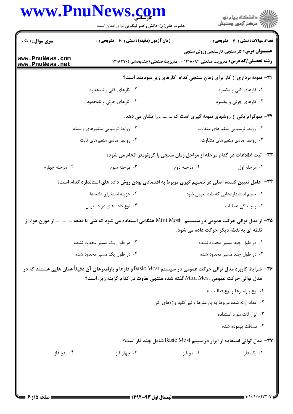## www.PnuNews.com

|                                    | www.PnuNews.com<br>حضرت علی(ع): دانش راهبر نیکویی برای ایمان است                                                                                                                              |                                                               | ر<br>دانشڪاه پيام نور)<br>ا                                                |
|------------------------------------|-----------------------------------------------------------------------------------------------------------------------------------------------------------------------------------------------|---------------------------------------------------------------|----------------------------------------------------------------------------|
| <b>سری سوال : ۱ یک</b>             | <b>زمان آزمون (دقیقه) : تستی : 60 ٪ تشریحی : 0</b>                                                                                                                                            |                                                               | <b>تعداد سوالات : تستی : 40 ٪ تشریحی : 0</b>                               |
| www.PnuNews.com<br>www.PnuNews.net | <b>رشته تحصیلی/کد درس:</b> مدیریت صنعتی ۱۲۱۸۰۸۴ - ، مدیریت صنعتی (چندبخشی )۱۲۱۸۲۷۰                                                                                                            |                                                               | <b>عنـــوان درس:</b> کار سنجی،کارسنجی وروش سنجی                            |
|                                    |                                                                                                                                                                                               |                                                               | ۳۱– نمونه برداری از کار برای زمان سنجی کدام کارهای زیر سودمند است؟         |
|                                    | ۰۲ کارهای کلی و نامحدود                                                                                                                                                                       |                                                               | ۰۱ کارهای کلی و یکسره                                                      |
|                                    | ۰۴ کارهای جزئی و نامحدود                                                                                                                                                                      |                                                               | ۰۳ کارهای جزئی و یکسره                                                     |
|                                    |                                                                                                                                                                                               |                                                               | ۳۲- نموگرام یکی از روشهای نمونه گیری است که  را نشان می دهد.               |
|                                    | ۰۲ روابط ترسیمی متغیرهای وابسته                                                                                                                                                               |                                                               | ٠١ روابط ترسيمي متغيرهاي متفاوت                                            |
|                                    | ۰۴ روابط عددی متغیرهای ثابت                                                                                                                                                                   |                                                               | ۰۳ روابط عددي متغيرهاي متفاوت                                              |
|                                    | ۳۳- ثبت اطلاعات در کدام مرحله از مراحل زمان سنجی با کرونومتر انجام می شود؟                                                                                                                    |                                                               |                                                                            |
| ۰۴ مرحله چهارم                     | ۰۳ مرحله سوم                                                                                                                                                                                  | ۰۲ مرحله دوم                                                  | ٠١ مرحله اول                                                               |
|                                    | ۳۴ – عامل تعیین کننده اصلی در تصمیم گیری مربوط به اقتصادی بودن روش داده های استاندارد کدام است؟                                                                                               |                                                               |                                                                            |
|                                    | ۰۲ هزینه استخراج داده ها                                                                                                                                                                      |                                                               | ٠١ حجم استانداردهايي كه بايد تعيين شود.                                    |
|                                    | ۰۴ نوع داده های در دسترس                                                                                                                                                                      |                                                               | ۴. پیچیدگی عملیات                                                          |
|                                    | <b>۳۵</b> – از مدل توالی حرکت عمومی در سیستم   Mini Most هنگامی استفاده می شود که شی یا قطعه  از دورن هوا، از                                                                                 | نقطه ای به نقطه دیگر حرکت داده می شود.                        |                                                                            |
|                                    | ۰۲ در طول یک مسیر محدود نشده                                                                                                                                                                  |                                                               | ۰۱ در طول چند مسیر محدود نشده                                              |
|                                    | ۰۴ در طول یک مسیر محدود شده                                                                                                                                                                   |                                                               | ۰۳ در طول چند مسیر محدود شده                                               |
|                                    | ۳۶− شرایط کاربرد مدل توالی حرکت عمومی در سیستم Basic Most و فازها و پارامترهای آن دقیقاً همان هایی هستند که در<br>مدل توالی حرکت عمومی Mini Most گفته شده منتهی تفاوت در کدام گزینه زیر. است؟ |                                                               |                                                                            |
|                                    |                                                                                                                                                                                               |                                                               | ۰۱ نوع پارامترها و نوع فعالیت ها                                           |
|                                    |                                                                                                                                                                                               | ۰۲ اعداد ارائه شده مربوط به پارامترها و نیز کلید واژههای آنان |                                                                            |
|                                    |                                                                                                                                                                                               |                                                               | ۰۳ ابزارآلات مورد استفاده                                                  |
|                                    |                                                                                                                                                                                               |                                                               | ۰۴ مسافت پیموده شده                                                        |
|                                    |                                                                                                                                                                                               |                                                               | <b>۳۷-</b> مدل توالی استفاده از ابزار در سیتم Basic Most شامل چند فاز است؟ |
| ۰۴ پنج فاز                         | ۰۳ چهار فاز                                                                                                                                                                                   | ۰۲ دو فاز                                                     | ۰۱ یک فاز                                                                  |